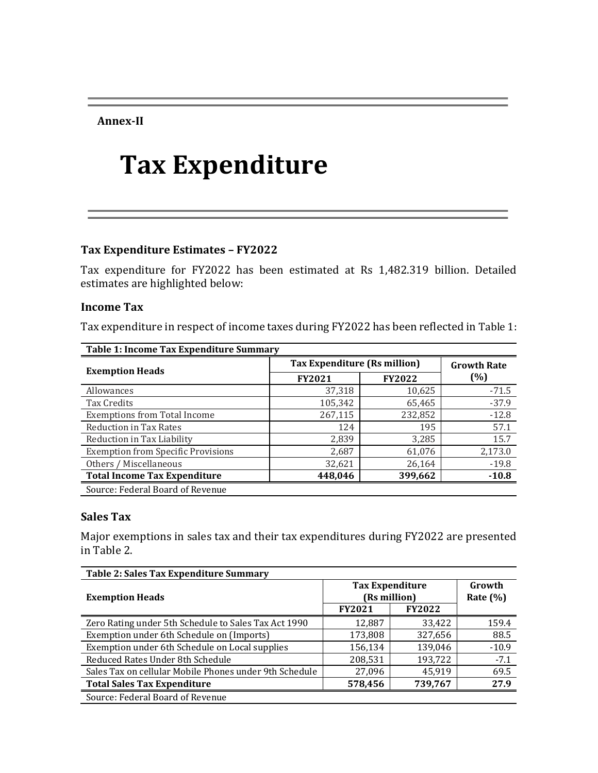**Annex-II**

# **Tax Expenditure**

### **Tax Expenditure Estimates – FY2022**

Tax expenditure for FY2022 has been estimated at Rs 1,482.319 billion. Detailed estimates are highlighted below:

#### **Income Tax**

Tax expenditure in respect of income taxes during FY2022 has been reflected in Table 1:

| Table 1: Income Tax Expenditure Summary   |                                     |                    |         |  |  |
|-------------------------------------------|-------------------------------------|--------------------|---------|--|--|
|                                           | <b>Tax Expenditure (Rs million)</b> | <b>Growth Rate</b> |         |  |  |
| <b>Exemption Heads</b>                    | <b>FY2021</b>                       | <b>FY2022</b>      | (%)     |  |  |
| Allowances                                | 37,318                              | 10,625             | $-71.5$ |  |  |
| Tax Credits                               | 105,342                             | 65,465             | $-37.9$ |  |  |
| <b>Exemptions from Total Income</b>       | 267,115                             | 232,852            | $-12.8$ |  |  |
| <b>Reduction in Tax Rates</b>             | 124                                 | 195                | 57.1    |  |  |
| Reduction in Tax Liability                | 2,839                               | 3,285              | 15.7    |  |  |
| <b>Exemption from Specific Provisions</b> | 2,687                               | 61,076             | 2,173.0 |  |  |
| Others / Miscellaneous                    | 32,621                              | 26,164             | $-19.8$ |  |  |
| <b>Total Income Tax Expenditure</b>       | 448,046                             | 399,662            | $-10.8$ |  |  |
| Source: Federal Board of Revenue          |                                     |                    |         |  |  |

#### **Sales Tax**

Major exemptions in sales tax and their tax expenditures during FY2022 are presented in Table 2.

| Table 2: Sales Tax Expenditure Summary                 |                                        |                        |         |  |  |
|--------------------------------------------------------|----------------------------------------|------------------------|---------|--|--|
| <b>Exemption Heads</b>                                 | <b>Tax Expenditure</b><br>(Rs million) | Growth<br>Rate $(\% )$ |         |  |  |
|                                                        | <b>FY2021</b>                          | <b>FY2022</b>          |         |  |  |
| Zero Rating under 5th Schedule to Sales Tax Act 1990   | 12,887                                 | 33,422                 | 159.4   |  |  |
| Exemption under 6th Schedule on (Imports)              | 173,808                                | 327,656                | 88.5    |  |  |
| Exemption under 6th Schedule on Local supplies         | 156,134                                | 139,046                | $-10.9$ |  |  |
| Reduced Rates Under 8th Schedule                       | 208,531                                | 193,722                | $-7.1$  |  |  |
| Sales Tax on cellular Mobile Phones under 9th Schedule | 27,096                                 | 45,919                 | 69.5    |  |  |
| <b>Total Sales Tax Expenditure</b>                     | 578,456                                | 739,767                | 27.9    |  |  |
| Source: Federal Board of Revenue                       |                                        |                        |         |  |  |